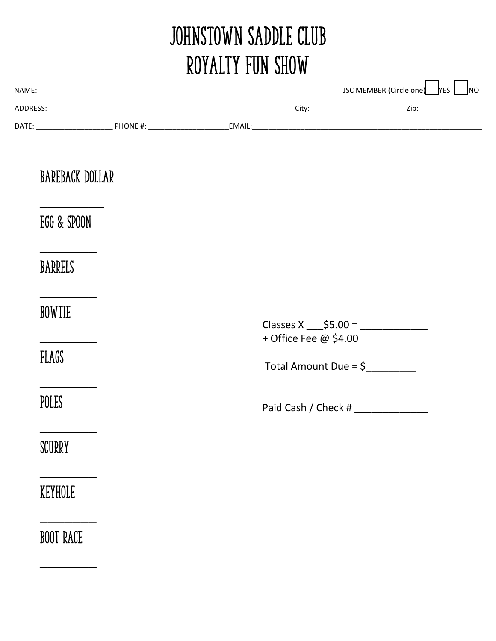# JOHNSTOWN SADDLE CLUB Royalty Fun Show

|  | <b>BAREBACK DOLLAR</b> |  |  |                                                           |  |  |
|--|------------------------|--|--|-----------------------------------------------------------|--|--|
|  | EGG & SPOON            |  |  |                                                           |  |  |
|  | BARRELS                |  |  |                                                           |  |  |
|  | <b>BOWTIE</b>          |  |  | Classes X ______ \$5.00 = _________________               |  |  |
|  | FLAGS                  |  |  | + Office Fee @ \$4.00<br>Total Amount Due = $\frac{6}{2}$ |  |  |
|  | POLES                  |  |  | Paid Cash / Check # ________________                      |  |  |
|  | SCURRY                 |  |  |                                                           |  |  |
|  | KEYHOLE                |  |  |                                                           |  |  |
|  | <b>BOOT RACE</b>       |  |  |                                                           |  |  |
|  |                        |  |  |                                                           |  |  |